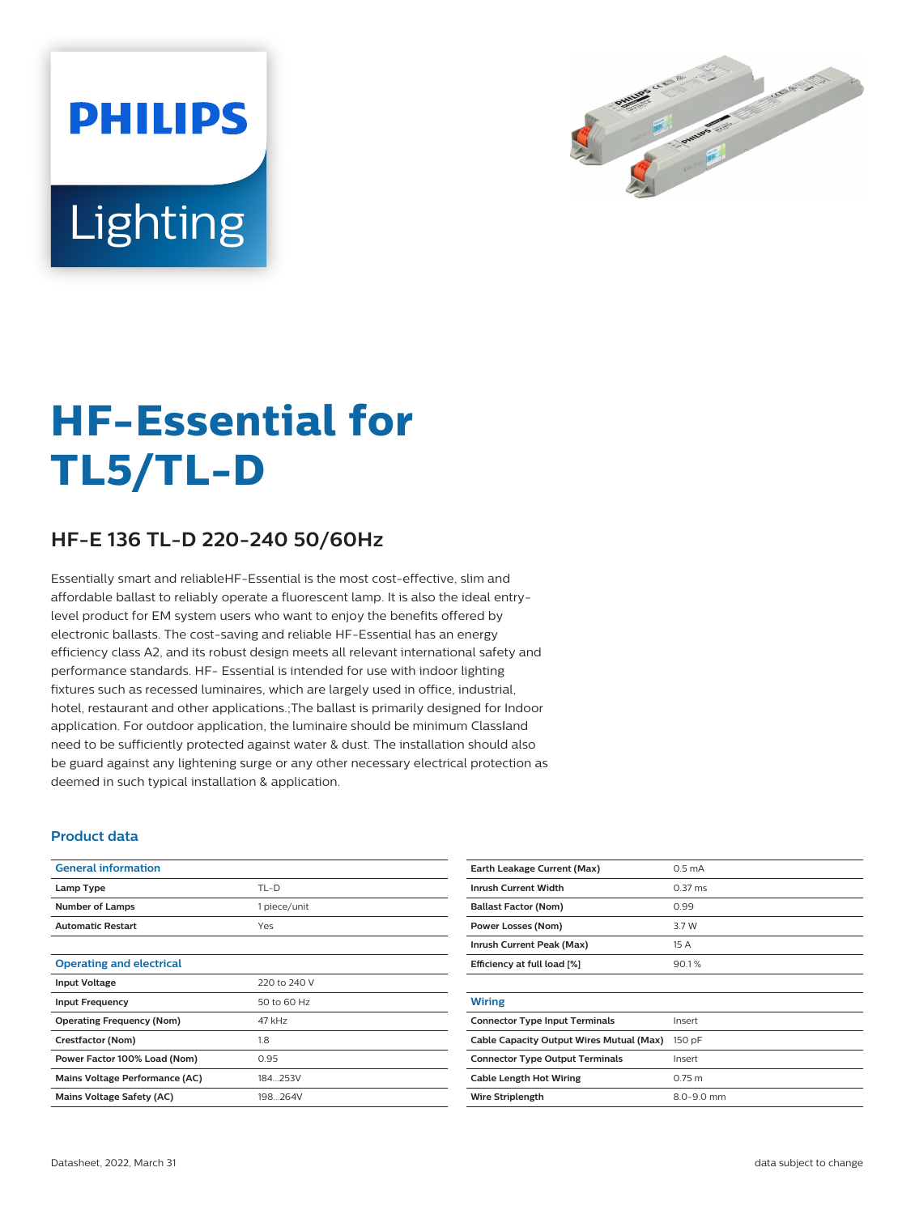



# **HF-Essential for TL5/TL-D**

## **HF-E 136 TL-D 220-240 50/60Hz**

Essentially smart and reliableHF-Essential is the most cost-effective, slim and affordable ballast to reliably operate a fluorescent lamp. It is also the ideal entrylevel product for EM system users who want to enjoy the benefits offered by electronic ballasts. The cost-saving and reliable HF-Essential has an energy efficiency class A2, and its robust design meets all relevant international safety and performance standards. HF- Essential is intended for use with indoor lighting fixtures such as recessed luminaires, which are largely used in office, industrial, hotel, restaurant and other applications.;The ballast is primarily designed for Indoor application. For outdoor application, the luminaire should be minimum Classland need to be sufficiently protected against water & dust. The installation should also be guard against any lightening surge or any other necessary electrical protection as deemed in such typical installation & application.

#### **Product data**

| <b>General information</b>       |              |
|----------------------------------|--------------|
| Lamp Type                        | $TL-D$       |
| <b>Number of Lamps</b>           | 1 piece/unit |
| <b>Automatic Restart</b>         | Yes          |
|                                  |              |
| <b>Operating and electrical</b>  |              |
| <b>Input Voltage</b>             | 220 to 240 V |
| <b>Input Frequency</b>           | 50 to 60 Hz  |
| <b>Operating Frequency (Nom)</b> | 47 kHz       |
| Crestfactor (Nom)                | 1.8          |
| Power Factor 100% Load (Nom)     | 0.95         |
| Mains Voltage Performance (AC)   | 184 253V     |
| Mains Voltage Safety (AC)        | 198264V      |
|                                  |              |

| Earth Leakage Current (Max)              | 0.5 <sub>m</sub> A  |
|------------------------------------------|---------------------|
| <b>Inrush Current Width</b>              | $0.37 \, \text{ms}$ |
| <b>Ballast Factor (Nom)</b>              | 0.99                |
| Power Losses (Nom)                       | 3.7 W               |
| Inrush Current Peak (Max)                | 15A                 |
| Efficiency at full load [%]              | 90.1%               |
|                                          |                     |
| <b>Wiring</b>                            |                     |
| <b>Connector Type Input Terminals</b>    | Insert              |
| Cable Capacity Output Wires Mutual (Max) | 150 pF              |
| <b>Connector Type Output Terminals</b>   | Insert              |
| <b>Cable Length Hot Wiring</b>           | $0.75$ m            |
| <b>Wire Striplength</b>                  | $8.0 - 9.0$ mm      |
|                                          |                     |